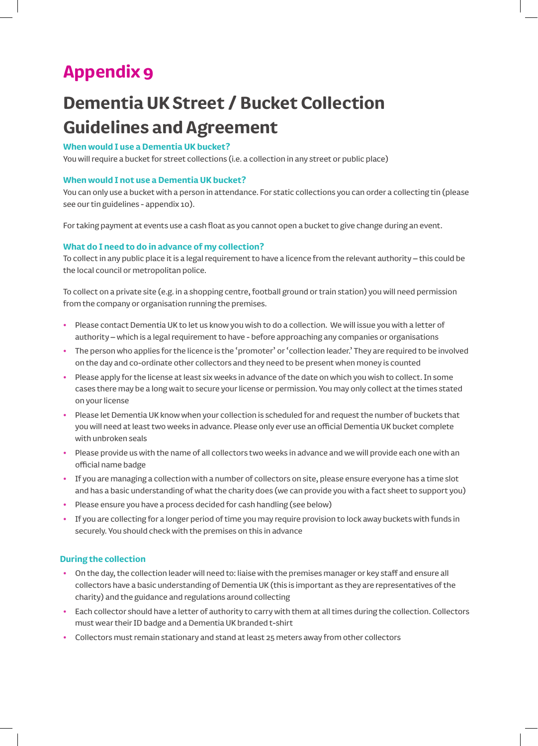# **Appendix 9**

# **Dementia UK Street / Bucket Collection Guidelines and Agreement**

# **When would I use a Dementia UK bucket?**

You will require a bucket for street collections (i.e. a collection in any street or public place)

### **When would I not use a Dementia UK bucket?**

You can only use a bucket with a person in attendance. For static collections you can order a collecting tin (please see our tin guidelines - appendix 10).

For taking payment at events use a cash float as you cannot open a bucket to give change during an event.

## **What do I need to do in advance of my collection?**

To collect in any public place it is a legal requirement to have a licence from the relevant authority – this could be the local council or metropolitan police.

To collect on a private site (e.g. in a shopping centre, football ground or train station) you will need permission from the company or organisation running the premises.

- **•** Please contact Dementia UK to let us know you wish to do a collection. We will issue you with a letter of authority – which is a legal requirement to have - before approaching any companies or organisations
- **•** The person who applies for the licence is the 'promoter' or 'collection leader.' They are required to be involved on the day and co-ordinate other collectors and they need to be present when money is counted
- **•** Please apply for the license at least six weeks in advance of the date on which you wish to collect. In some cases there may be a long wait to secure your license or permission. You may only collect at the times stated on your license
- **•** Please let Dementia UK know when your collection is scheduled for and request the number of buckets that you will need at least two weeks in advance. Please only ever use an official Dementia UK bucket complete with unbroken seals
- **•** Please provide us with the name of all collectors two weeks in advance and we will provide each one with an official name badge
- **•** If you are managing a collection with a number of collectors on site, please ensure everyone has a time slot and has a basic understanding of what the charity does (we can provide you with a fact sheet to support you)
- **•** Please ensure you have a process decided for cash handling (see below)
- **•** If you are collecting for a longer period of time you may require provision to lock away buckets with funds in securely. You should check with the premises on this in advance

## **During the collection**

- **•** On the day, the collection leader will need to: liaise with the premises manager or key staff and ensure all collectors have a basic understanding of Dementia UK (this is important as they are representatives of the charity) and the guidance and regulations around collecting
- **•** Each collector should have a letter of authority to carry with them at all times during the collection. Collectors must wear their ID badge and a Dementia UK branded t-shirt
- **•** Collectors must remain stationary and stand at least 25 meters away from other collectors